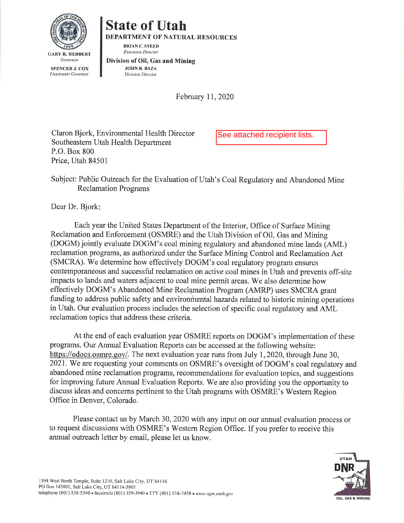

## **State of Utah DEPARTMENT OF NATURAL RESOURCES**

**BRIAN C. STEED Executive Director** 

Division of Oil, Gas and Mining **JOHN R. BAZA** Division Director

February 11, 2020

Claron Bjork, Environmental Health Director Southeastern Utah Health Department P.O. Box 800 Price. Utah 84501

See attached recipient lists.

Subject: Public Outreach for the Evaluation of Utah's Coal Regulatory and Abandoned Mine **Reclamation Programs** 

Dear Dr. Bjork:

Each year the United States Department of the Interior, Office of Surface Mining Reclamation and Enforcement (OSMRE) and the Utah Division of Oil, Gas and Mining (DOGM) jointly evaluate DOGM's coal mining regulatory and abandoned mine lands (AML) reclamation programs, as authorized under the Surface Mining Control and Reclamation Act (SMCRA). We determine how effectively DOGM's coal regulatory program ensures contemporaneous and successful reclamation on active coal mines in Utah and prevents off-site impacts to lands and waters adjacent to coal mine permit areas. We also determine how effectively DOGM's Abandoned Mine Reclamation Program (AMRP) uses SMCRA grant funding to address public safety and environmental hazards related to historic mining operations in Utah. Our evaluation process includes the selection of specific coal regulatory and AML reclamation topics that address these criteria.

At the end of each evaluation year OSMRE reports on DOGM's implementation of these programs. Our Annual Evaluation Reports can be accessed at the following website: https://odocs.osmre.gov/. The next evaluation year runs from July 1, 2020, through June 30, 2021. We are requesting your comments on OSMRE's oversight of DOGM's coal regulatory and abandoned mine reclamation programs, recommendations for evaluation topics, and suggestions for improving future Annual Evaluation Reports. We are also providing you the opportunity to discuss ideas and concerns pertinent to the Utah programs with OSMRE's Western Region Office in Denver, Colorado.

Please contact us by March 30, 2020 with any input on our annual evaluation process or to request discussions with OSMRE's Western Region Office. If you prefer to receive this annual outreach letter by email, please let us know.

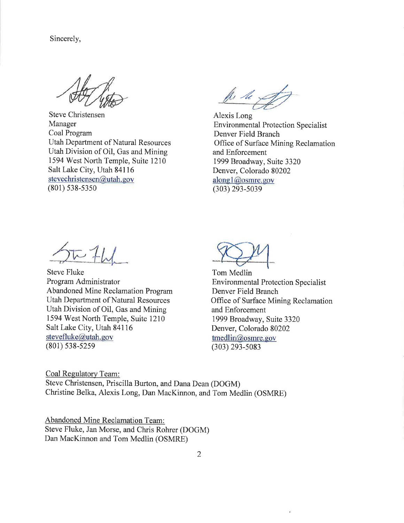Sincerely,

**Steve Christensen** Manager Coal Program **Utah Department of Natural Resources** Utah Division of Oil, Gas and Mining 1594 West North Temple, Suite 1210 Salt Lake City, Utah 84116 stevechristensen@utah.gov  $(801)$  538-5350

fle le x

Alexis Long **Environmental Protection Specialist** Denver Field Branch Office of Surface Mining Reclamation and Enforcement 1999 Broadway, Suite 3320 Denver, Colorado 80202 along1@osmre.gov  $(303)$  293-5039

几仙

**Steve Fluke** Program Administrator Abandoned Mine Reclamation Program **Utah Department of Natural Resources** Utah Division of Oil, Gas and Mining 1594 West North Temple, Suite 1210 Salt Lake City, Utah 84116 stevefluke@utah.gov  $(801) 538 - 5259$ 

Tom Medlin **Environmental Protection Specialist** Denver Field Branch Office of Surface Mining Reclamation and Enforcement 1999 Broadway, Suite 3320 Denver, Colorado 80202  $t$ medlin@osmre.gov  $(303)$  293-5083

Coal Regulatory Team: Steve Christensen, Priscilla Burton, and Dana Dean (DOGM) Christine Belka, Alexis Long, Dan MacKinnon, and Tom Medlin (OSMRE)

**Abandoned Mine Reclamation Team:** Steve Fluke, Jan Morse, and Chris Rohrer (DOGM) Dan MacKinnon and Tom Medlin (OSMRE)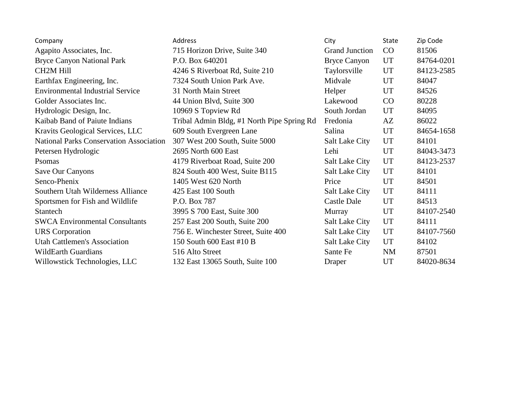| Company                                        | Address                                    | City                  | <b>State</b> | Zip Code   |
|------------------------------------------------|--------------------------------------------|-----------------------|--------------|------------|
| Agapito Associates, Inc.                       | 715 Horizon Drive, Suite 340               | <b>Grand Junction</b> | CO           | 81506      |
| <b>Bryce Canyon National Park</b>              | P.O. Box 640201                            | <b>Bryce Canyon</b>   | <b>UT</b>    | 84764-0201 |
| <b>CH2M Hill</b>                               | 4246 S Riverboat Rd, Suite 210             | Taylorsville          | <b>UT</b>    | 84123-2585 |
| Earthfax Engineering, Inc.                     | 7324 South Union Park Ave.                 | Midvale               | <b>UT</b>    | 84047      |
| <b>Environmental Industrial Service</b>        | 31 North Main Street                       | Helper                | <b>UT</b>    | 84526      |
| Golder Associates Inc.                         | 44 Union Blvd, Suite 300                   | Lakewood              | CO           | 80228      |
| Hydrologic Design, Inc.                        | 10969 S Topview Rd                         | South Jordan          | <b>UT</b>    | 84095      |
| Kaibab Band of Paiute Indians                  | Tribal Admin Bldg, #1 North Pipe Spring Rd | Fredonia              | AZ           | 86022      |
| Kravits Geological Services, LLC               | 609 South Evergreen Lane                   | Salina                | <b>UT</b>    | 84654-1658 |
| <b>National Parks Conservation Association</b> | 307 West 200 South, Suite 5000             | <b>Salt Lake City</b> | <b>UT</b>    | 84101      |
| Petersen Hydrologic                            | 2695 North 600 East                        | Lehi                  | <b>UT</b>    | 84043-3473 |
| Psomas                                         | 4179 Riverboat Road, Suite 200             | <b>Salt Lake City</b> | <b>UT</b>    | 84123-2537 |
| Save Our Canyons                               | 824 South 400 West, Suite B115             | <b>Salt Lake City</b> | <b>UT</b>    | 84101      |
| Senco-Phenix                                   | 1405 West 620 North                        | Price                 | <b>UT</b>    | 84501      |
| Southern Utah Wilderness Alliance              | 425 East 100 South                         | <b>Salt Lake City</b> | <b>UT</b>    | 84111      |
| Sportsmen for Fish and Wildlife                | P.O. Box 787                               | Castle Dale           | <b>UT</b>    | 84513      |
| Stantech                                       | 3995 S 700 East, Suite 300                 | Murray                | <b>UT</b>    | 84107-2540 |
| <b>SWCA Environmental Consultants</b>          | 257 East 200 South, Suite 200              | <b>Salt Lake City</b> | <b>UT</b>    | 84111      |
| <b>URS</b> Corporation                         | 756 E. Winchester Street, Suite 400        | <b>Salt Lake City</b> | UT           | 84107-7560 |
| <b>Utah Cattlemen's Association</b>            | 150 South 600 East #10 B                   | <b>Salt Lake City</b> | UT           | 84102      |
| <b>WildEarth Guardians</b>                     | 516 Alto Street                            | Sante Fe              | <b>NM</b>    | 87501      |
| Willowstick Technologies, LLC                  | 132 East 13065 South, Suite 100            | Draper                | UT           | 84020-8634 |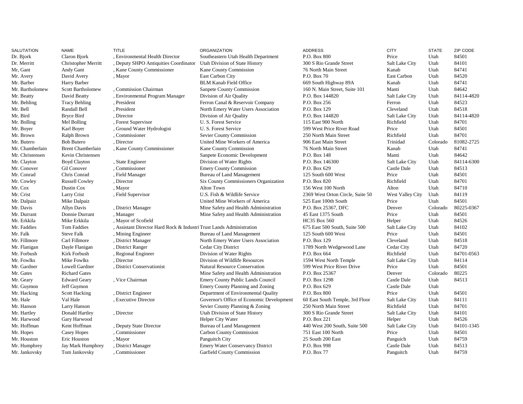| <b>CITY</b><br><b>SALUTATION</b><br><b>NAME</b><br><b>TITLE</b><br><b>ORGANIZATION</b><br><b>ADDRESS</b>                                                          | <b>STATE</b> | ZIP CODE   |
|-------------------------------------------------------------------------------------------------------------------------------------------------------------------|--------------|------------|
| Claron Bjork<br>, Environmental Health Director<br>P.O. Box 800<br>Dr. Bjork<br>Southeastern Utah Health Department<br>Price                                      | Utah         | 84501      |
| , Deputy SHPO Antiquities Coordinator<br>Salt Lake City<br>Dr. Merritt<br><b>Christopher Merritt</b><br>Utah Division of State History<br>300 S Rio Grande Street | Utah         | 84101      |
| Mr, Gant<br>, Kane County Commissioner<br>Kane County Commission<br>76 North Main Street<br>Andy Gant<br>Kanab                                                    | Utah         | 84741      |
| David Avery<br>East Carbon City<br>P.O. Box 70<br>East Carbon<br>Mr. Avery<br>, Mayor                                                                             | Utah         | 84520      |
| <b>BLM Kanab Field Office</b><br>Mr. Barber<br>Harry Barber<br>669 South Highway 89A<br>Kanab                                                                     | Utah         | 84741      |
| Mr. Bartholomew<br>, Commission Chairman<br>Sanpete County Commission<br>Scott Bartholomew<br>160 N. Main Street, Suite 101<br>Manti                              | Utah         | 84642      |
| David Beatty<br>, Environmental Program Manager<br>P.O. Box 144820<br>Mr. Beatty<br>Division of Air Quality<br><b>Salt Lake City</b>                              | Utah         | 84114-4820 |
| Mr. Behling<br><b>Tracy Behling</b><br>Ferron Canal & Reservoir Company<br>P.O. Box 256<br>, President<br>Ferron                                                  | Utah         | 84523      |
| Mr. Bell<br>Randall Bell<br>, President<br>North Emery Water Users Association<br>P.O. Box 129<br>Cleveland                                                       | Utah         | 84518      |
| Mr. Bird<br>Bryce Bird<br>, Director<br>Division of Air Quality<br>P.O. Box 144820<br>Salt Lake City                                                              | Utah         | 84114-4820 |
| Mr. Bolling<br>Mel Bolling<br>, Forest Supervisor<br>U. S. Forest Service<br>115 East 900 North<br>Richfield                                                      | Utah         | 84701      |
| Mr. Boyer<br>U. S. Forest Service<br>Karl Boyer<br>Ground Water Hydrologist<br>599 West Price River Road<br>Price                                                 | Utah         | 84501      |
| Mr. Brown<br>Ralph Brown<br>, Commissioner<br>Sevier County Commission<br>250 North Main Street<br>Richfield                                                      | Utah         | 84701      |
| <b>Bob Butero</b><br>Mr. Butero<br>, Director<br>United Mine Workers of America<br>906 East Main Street<br>Trinidad                                               | Colorado     | 81082-2725 |
| <b>Brent Chamberlain</b><br>, Kane County Commissioner<br>Kane County Commission<br>Mr. Chamberlain<br>76 North Main Street<br>Kanab                              | Utah         | 84741      |
| Mr. Christensen<br>Kevin Christensen<br>Sanpete Economic Development<br>P.O. Box 148<br>Manti                                                                     | Utah         | 84642      |
| Mr. Clayton<br><b>Boyd Clayton</b><br>, State Engineer<br>Division of Water Rights<br>P.O. Box 146300<br>Salt Lake City                                           | Utah         | 84114-6300 |
| Mr. Conover<br>, Commissioner<br>P.O. Box 629<br>Castle Dale<br>Gil Conover<br><b>Emery County Commission</b>                                                     | Utah         | 84513      |
| Mr. Conrad<br>Chris Conrad<br>, Field Manager<br>Bureau of Land Management<br>125 South 600 West<br>Price                                                         | Utah         | 84501      |
| , Director<br>Richfield<br>Mr. Cowley<br><b>Russell Cowley</b><br>Six County Commissioners Organization<br>P.O. Box 820                                           | Utah         | 84701      |
| Alton Town<br>Mr. Cox<br>Dustin Cox<br>, Mayor<br>156 West 100 North<br>Alton                                                                                     | Utah         | 84710      |
| Mr. Crist<br>Larry Crist<br>, Field Supervisor<br>U.S. Fish & Wildlife Service<br>2369 West Orton Circle, Suite 50<br>West Valley City                            | Utah         | 84119      |
| Mr. Dalpaiz<br>Mike Dalpaiz<br>United Mine Workers of America<br>525 East 100th South<br>Price                                                                    | Utah         | 84501      |
| Mr. Davis<br><b>Allyn Davis</b><br>, District Manager<br>Mine Safety and Health Administration<br>P.O. Box 25367, DFC<br>Denver                                   | Colorado     | 80225-0367 |
| Mr. Durrant<br>Donnie Durrant<br>45 East 1375 South<br>, Manager<br>Mine Safety and Health Administration<br>Price                                                | Utah         | 84501      |
| Mr. Erkkila<br>Mike Erkkila<br><b>HC35 Box 560</b><br>, Mayor of Scofield<br>Helper                                                                               | Utah         | 84526      |
| Mr. Faddies<br><b>Tom Faddies</b><br>, Assistant Director Hard Rock & Industri Trust Lands Administration<br>675 East 500 South, Suite 500<br>Salt Lake City      | Utah         | 84102      |
| Mr. Falk<br><b>Steve Falk</b><br>125 South 600 West<br>, Mining Engineer<br>Bureau of Land Management<br>Price                                                    | Utah         | 84501      |
| Mr. Fillmore<br>Carl Fillmore<br>, District Manager<br>North Emery Water Users Association<br>P.O. Box 129<br>Cleveland                                           | Utah         | 84518      |
| Cedar City District<br>Mr. Flanigan<br>Dayle Flanigan<br>, District Ranger<br>1789 North Wedgewood Lane<br>Cedar City                                             | Utah         | 84720      |
| Kirk Forbush<br>Mr. Forbush<br>, Regional Engineer<br>Division of Water Rights<br>P.O. Box 664<br>Richfield                                                       | Utah         | 84701-0563 |
| <b>Mike Fowlks</b><br>, Director<br>Division of Wildlife Resources<br>Mr. Fowlks<br>1594 West North Temple<br>Salt Lake City                                      | Utah         | 84114      |
| Mr. Gardner<br><b>Lowell Gardner</b><br>, District Conservationist<br><b>Natural Resource Conservation</b><br>599 West Price River Drive<br>Price                 | Utah         | 84501      |
| Mr. Gates<br><b>Richard Gates</b><br>Mine Safety and Health Administration<br>P.O. Box 25367<br>Denver                                                            | Colorado     | 80225      |
| P.O. Box 1298<br>Mr. Geary<br><b>Edward Geary</b><br>, Vice Chairman<br><b>Emery County Public Lands Council</b><br>Castle Dale                                   | Utah         | 84513      |
| Castle Dale<br>Mr. Guymon<br>Jeff Guymon<br>Emery County Planning and Zoning<br>P.O. Box 629                                                                      | Utah         |            |
| P.O. Box 800<br>Mr. Hacking<br><b>Scott Hacking</b><br>, District Engineer<br>Department of Environmental Quality<br>Price                                        | Utah         | 84501      |
| Mr. Hale<br>Val Hale<br>Governor's Office of Economic Development<br>, Executive Director<br>60 East South Temple, 3rd Floor<br>Salt Lake City                    | Utah         | 84111      |
| Mr. Hanson<br>Larry Hanson<br>Sevier County Planning & Zoning<br>250 North Main Street<br>Richfield                                                               | Utah         | 84701      |
| Mr. Hartley<br>Donald Hartley<br>Utah Division of State History<br>300 S Rio Grande Street<br>, Director<br><b>Salt Lake City</b>                                 | Utah         | 84101      |
| Mr. Harwood<br>Gary Harwood<br><b>Helper City Water</b><br>P.O. Box 221<br>Helper                                                                                 | Utah         | 84526      |
| Mr. Hoffman<br>Kent Hoffman<br>, Deputy State Director<br>Bureau of Land Management<br>440 West 200 South, Suite 500<br>Salt Lake City                            | Utah         | 84101-1345 |
| Mr. Hopes<br><b>Casey Hopes</b><br>, Commissioner<br>Carbon County Commission<br>751 East 100 North<br>Price                                                      | Utah         | 84501      |
| Mr. Houston<br>Eric Houston<br>25 South 200 East<br>, Mayor<br>Panguitch City<br>Panguich                                                                         | Utah         | 84759      |
| Mr. Humphrey<br>, District Manager<br><b>Emery Water Conservancy District</b><br>P.O. Box 998<br>Castle Dale<br>Jay Mark Humphrey                                 | Utah         | 84513      |
| Tom Jankovsky<br>Commissioner<br>Garfield County Commission<br>P.O. Box 77<br>Mr. Jankovsky<br>Panguitch                                                          | Utah         | 84759      |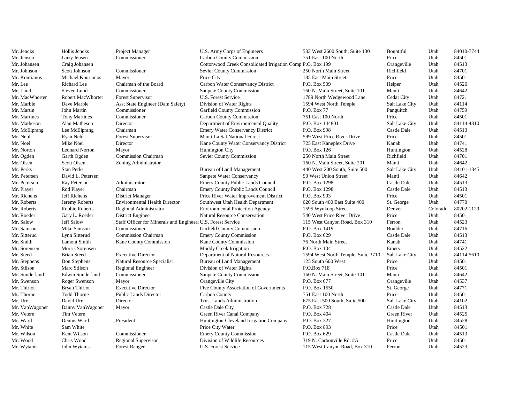| Mr. Jencks     | Hollis Jencks         | , Project Manager                                              | U.S. Army Corps of Engineers                               | 533 West 2600 South, Suite 130     | Bountiful      | Utah     | 84010-7744 |
|----------------|-----------------------|----------------------------------------------------------------|------------------------------------------------------------|------------------------------------|----------------|----------|------------|
| Mr. Jensen     | Larry Jensen          | Commissioner                                                   | <b>Carbon County Commission</b>                            | 751 East 100 North                 | Price          | Utah     | 84501      |
| Mr. Johansen   | Craig Johansen        |                                                                | Cottonwood Creek Consolidated Irrigation Comp P.O. Box 199 |                                    | Orangeville    | Utah     | 84513      |
| Mr. Johnson    | Scott Johnson         | , Commissioner                                                 | Sevier County Commission                                   | 250 North Main Street              | Richfield      | Utah     | 84701      |
| Mr. Kourianos  | Michael Kourianos     | , Mayor                                                        | Price City                                                 | 185 East Main Street               | Price          | Utah     | 84501      |
| Mr. Lee        | Richard Lee           | Chairman of the Board                                          | Carbon Water Conservancy District                          | P.O. Box 509                       | Helper         | Utah     | 84526      |
| Mr. Lund       | Steven Lund           | , Commissioner                                                 | Sanpete County Commission                                  | 160 N. Main Street, Suite 101      | Manti          | Utah     | 84642      |
| Mr. MacWhorter | Robert MacWhorter     | , Forest Supervisor                                            | U.S. Forest Service                                        | 1789 North Wedgewood Lane          | Cedar City     | Utah     | 84721      |
| Mr. Marble     | Dave Marble           | , Asst State Engineer (Dam Safety)                             | Division of Water Rights                                   | 1594 West North Temple             | Salt Lake City | Utah     | 84114      |
| Mr. Martin     | John Martin           | , Commissioner                                                 | Garfield County Commission                                 | P.O. Box 77                        | Panguitch      | Utah     | 84759      |
| Mr. Martines   | <b>Tony Martines</b>  | Commissioner                                                   | <b>Carbon County Commission</b>                            | 751 East 100 North                 | Price          | Utah     | 84501      |
| Mr. Matheson   | Alan Matheson         | , Director                                                     | Department of Environmental Quality                        | P.O. Box 144801                    | Salt Lake City | Utah     | 84114-4810 |
| Mr. McElprang  | Lee McElprang         | Chairman                                                       | <b>Emery Water Conservancy District</b>                    | P.O. Box 998                       | Castle Dale    | Utah     | 84513      |
| Mr. Nehl       | Ryan Nehl             | , Forest Supervisor                                            | Manti-La Sal National Forest                               | 599 West Price River Drive         | Price          | Utah     | 84501      |
| Mr. Noel       | Mike Noel             | , Director                                                     | Kane County Water Conservancy District                     | 725 East Kaneplex Drive            | Kanab          | Utah     | 84741      |
| Mr. Norton     | <b>Leonard Norton</b> | , Mayor                                                        | <b>Huntington City</b>                                     | P.O. Box 126                       | Huntington     | Utah     | 84528      |
| Mr. Ogden      | Garth Ogden           | , Commission Chairman                                          | Sevier County Commission                                   | 250 North Main Street              | Richfield      | Utah     | 84701      |
| Mr. Olsen      | Scott Olsen           | , Zoning Administrator                                         |                                                            | 160 N. Main Street, Suite 201      | Manti          | Utah     | 84642      |
| Mr. Perks      | <b>Stan Perks</b>     |                                                                | Bureau of Land Management                                  | 440 West 200 South, Suite 500      | Salt Lake City | Utah     | 84101-1345 |
| Mr. Petersen   | David L. Petersen     |                                                                | Sanpete Water Conservancy                                  | 90 West Union Street               | Manti          | Utah     | 84642      |
| Mr. Peterson   | <b>Ray Peterson</b>   | , Administrator                                                | Emery County Public Lands Council                          | P.O. Box 1298                      | Castle Dale    | Utah     | 84513      |
| Mr. Player     | Rod Player            | Chairman                                                       | <b>Emery County Public Lands Council</b>                   | P.O. Box 1298                      | Castle Dale    | Utah     | 84513      |
| Mr. Richens    | Jeff Richens          | , District Manager                                             | Price River Water Improvement District                     | P.O. Box 903                       | Price          | Utah     | 84501      |
| Mr. Roberts    | Jeremy Roberts        | , Environmental Health Director                                | Southwest Utah Health Department                           | 620 South 400 East Suite 400       | St. George     | Utah     | 84770      |
| Mr. Roberts    | Robbie Roberts        | , Regional Administrator                                       | <b>Environmental Protection Agency</b>                     | 1595 Wynkoop Street                | Denver         | Colorado | 80202-1129 |
| Mr. Roeder     | Gary L. Roeder        | , District Engineer                                            | <b>Natural Resource Conservation</b>                       | 540 West Price River Drive         | Price          | Utah     | 84501      |
| Mr. Salow      | <b>Jeff Salow</b>     | , Staff Officer for Minerals and Engineeri U.S. Forest Service |                                                            | 115 West Canyon Road, Box 310      | Ferron         | Utah     | 84523      |
| Mr. Samson     | Mike Samson           | Commissioner                                                   | Garfield County Commission                                 | P.O. Box 1419                      | Boulder        | Utah     | 84716      |
| Mr. Sitterud   | Lynn Sitterud         | , Commission Chairman                                          | <b>Emery County Commission</b>                             | P.O. Box 629                       | Castle Dale    | Utah     | 84513      |
| Mr. Smith      | <b>Lamont Smith</b>   | , Kane County Commission                                       | Kane County Commission                                     | 76 North Main Street               | Kanab          | Utah     | 84741      |
| Mr. Sorensen   | Morris Sorensen       |                                                                | Muddy Creek Irrigation                                     | P.O. Box 104                       | Emery          | Utah     | 84522      |
| Mr. Steed      | <b>Brian Steed</b>    | , Executive Director                                           | Department of Natural Resources                            | 1594 West North Temple, Suite 3710 | Salt Lake City | Utah     | 84114-5610 |
| Mr. Stephens   | Don Stephens          | , Natural Resource Specialist                                  | <b>Bureau of Land Management</b>                           | 125 South 600 West                 | Price          | Utah     | 84501      |
| Mr. Stilson    | Marc Stilson          | , Regional Engineer                                            | Division of Water Rights                                   | P.O.Box 718                        | Price          | Utah     | 84501      |
| Mr. Sunderland | Edwin Sunderland      | , Commissioner                                                 | Sanpete County Commission                                  | 160 N. Main Street, Suite 101      | Manti          | Utah     | 84642      |
| Mr. Swenson    | Roger Swenson         | , Mayor                                                        | Orangeville City                                           | P.O. Box 677                       | Orangeville    | Utah     | 84537      |
| Mr. Thiriot    | Bryan Thiriot         | , Executive Director                                           | Five County Association of Governments                     | P.O. Box 1550                      | St. George     | Utah     | 84771      |
| Mr. Thorne     | <b>Todd Thorne</b>    | , Public Lands Director                                        | Carbon County                                              | 751 East 100 North                 | Price          | Utah     | 84501      |
| Mr. Ure        | David Ure             | , Director                                                     | <b>Trust Lands Administration</b>                          | 675 East 500 South, Suite 500      | Salt Lake City | Utah     | 84102      |
| Mr. VanWagoner | Danny VanWagoner      | , Mayor                                                        | Castle Dale City                                           | P.O. Box 728                       | Castle Dale    | Utah     | 84513      |
| Mr. Vetere     | <b>Tim Vetere</b>     |                                                                | Green River Canal Company                                  | P.O. Box 404                       | Green River    | Utah     | 84525      |
| Mr. Ward       | Dennis Ward           | , President                                                    | Huntington-Cleveland Irrigation Company                    | P.O. Box 327                       | Huntington     | Utah     | 84528      |
| Mr. White      | Sam White             |                                                                | Price City Water                                           | P.O. Box 893                       | Price          | Utah     | 84501      |
| Mr. Wilson     | Kent Wilson           | Commissioner                                                   | <b>Emery County Commission</b>                             | P.O. Box 629                       | Castle Dale    | Utah     | 84513      |
| Mr. Wood       | Chris Wood            | Regional Supervisor                                            | Division of Wildlife Resources                             | 319 N. Carbonville Rd. #A          | Price          | Utah     | 84501      |
| Mr. Wytanis    | John Wytanis          | , Forest Ranger                                                | U.S. Forest Service                                        | 115 West Canyon Road, Box 310      | Ferron         | Utah     | 84523      |
|                |                       |                                                                |                                                            |                                    |                |          |            |